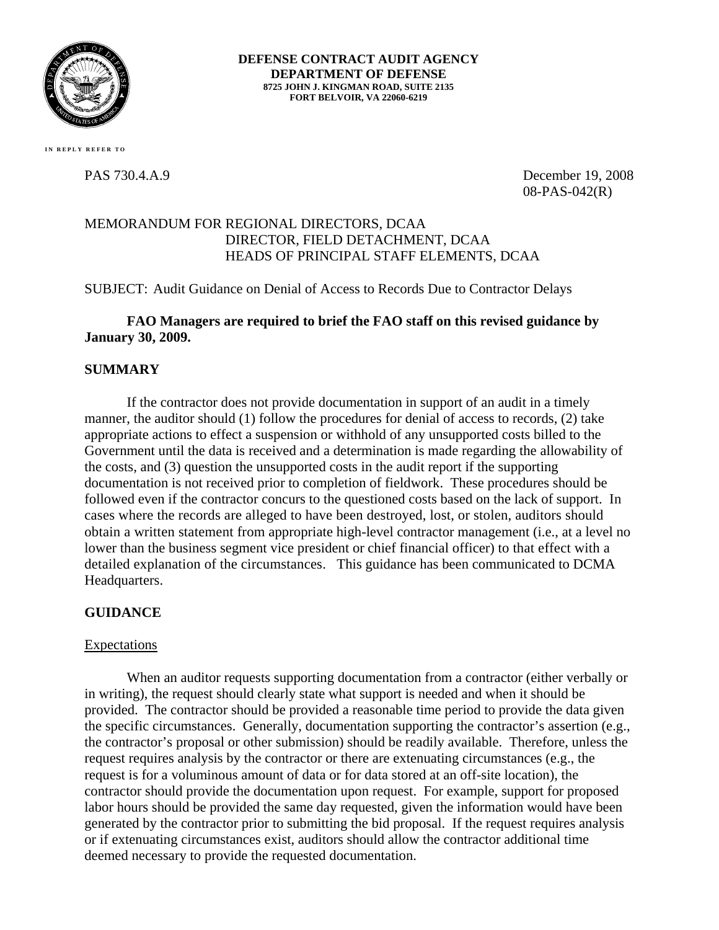

**DEFENSE CONTRACT AUDIT AGENCY DEPARTMENT OF DEFENSE 8725 JOHN J. KINGMAN ROAD, SUITE 2135 FORT BELVOIR, VA 22060-6219** 

 **IN REPLY REFER TO**

PAS 730.4.A.9 December 19, 2008 08-PAS-042(R)

# MEMORANDUM FOR REGIONAL DIRECTORS, DCAA DIRECTOR, FIELD DETACHMENT, DCAA HEADS OF PRINCIPAL STAFF ELEMENTS, DCAA

SUBJECT: Audit Guidance on Denial of Access to Records Due to Contractor Delays

### **FAO Managers are required to brief the FAO staff on this revised guidance by January 30, 2009.**

# **SUMMARY**

 If the contractor does not provide documentation in support of an audit in a timely manner, the auditor should (1) follow the procedures for denial of access to records, (2) take appropriate actions to effect a suspension or withhold of any unsupported costs billed to the Government until the data is received and a determination is made regarding the allowability of the costs, and (3) question the unsupported costs in the audit report if the supporting documentation is not received prior to completion of fieldwork. These procedures should be followed even if the contractor concurs to the questioned costs based on the lack of support. In cases where the records are alleged to have been destroyed, lost, or stolen, auditors should obtain a written statement from appropriate high-level contractor management (i.e., at a level no lower than the business segment vice president or chief financial officer) to that effect with a detailed explanation of the circumstances. This guidance has been communicated to DCMA Headquarters.

# **GUIDANCE**

### **Expectations**

When an auditor requests supporting documentation from a contractor (either verbally or in writing), the request should clearly state what support is needed and when it should be provided. The contractor should be provided a reasonable time period to provide the data given the specific circumstances. Generally, documentation supporting the contractor's assertion (e.g., the contractor's proposal or other submission) should be readily available. Therefore, unless the request requires analysis by the contractor or there are extenuating circumstances (e.g., the request is for a voluminous amount of data or for data stored at an off-site location), the contractor should provide the documentation upon request. For example, support for proposed labor hours should be provided the same day requested, given the information would have been generated by the contractor prior to submitting the bid proposal. If the request requires analysis or if extenuating circumstances exist, auditors should allow the contractor additional time deemed necessary to provide the requested documentation.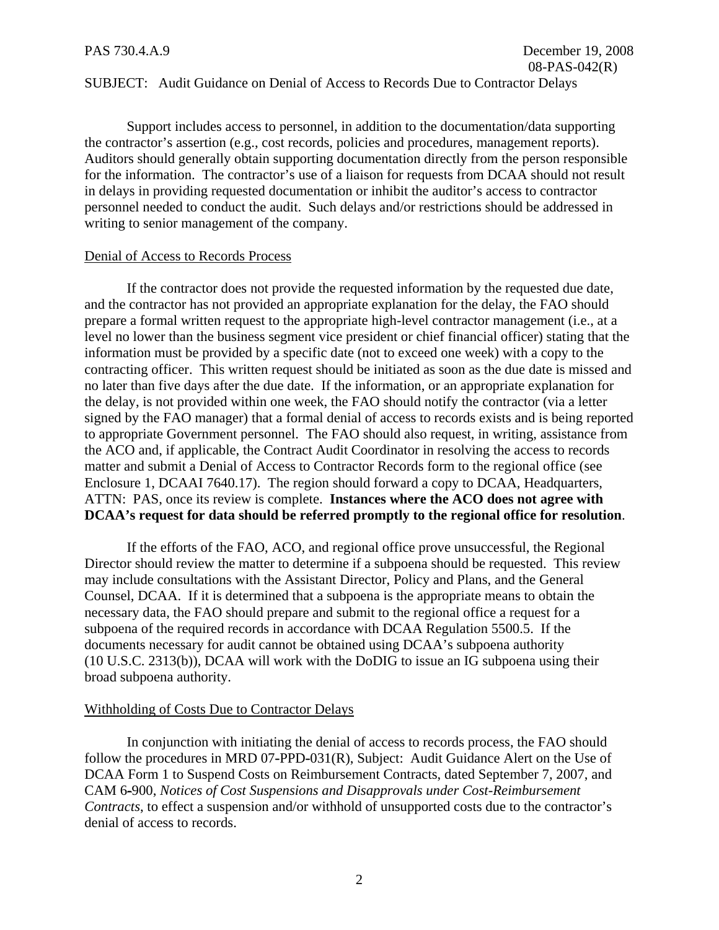### SUBJECT: Audit Guidance on Denial of Access to Records Due to Contractor Delays

Support includes access to personnel, in addition to the documentation/data supporting the contractor's assertion (e.g., cost records, policies and procedures, management reports). Auditors should generally obtain supporting documentation directly from the person responsible for the information. The contractor's use of a liaison for requests from DCAA should not result in delays in providing requested documentation or inhibit the auditor's access to contractor personnel needed to conduct the audit. Such delays and/or restrictions should be addressed in writing to senior management of the company.

### Denial of Access to Records Process

If the contractor does not provide the requested information by the requested due date, and the contractor has not provided an appropriate explanation for the delay, the FAO should prepare a formal written request to the appropriate high-level contractor management (i.e., at a level no lower than the business segment vice president or chief financial officer) stating that the information must be provided by a specific date (not to exceed one week) with a copy to the contracting officer. This written request should be initiated as soon as the due date is missed and no later than five days after the due date. If the information, or an appropriate explanation for the delay, is not provided within one week, the FAO should notify the contractor (via a letter signed by the FAO manager) that a formal denial of access to records exists and is being reported to appropriate Government personnel. The FAO should also request, in writing, assistance from the ACO and, if applicable, the Contract Audit Coordinator in resolving the access to records matter and submit a Denial of Access to Contractor Records form to the regional office (see Enclosure 1, DCAAI 7640.17). The region should forward a copy to DCAA, Headquarters, ATTN: PAS, once its review is complete. **Instances where the ACO does not agree with DCAA's request for data should be referred promptly to the regional office for resolution**.

If the efforts of the FAO, ACO, and regional office prove unsuccessful, the Regional Director should review the matter to determine if a subpoena should be requested. This review may include consultations with the Assistant Director, Policy and Plans, and the General Counsel, DCAA. If it is determined that a subpoena is the appropriate means to obtain the necessary data, the FAO should prepare and submit to the regional office a request for a subpoena of the required records in accordance with DCAA Regulation 5500.5. If the documents necessary for audit cannot be obtained using DCAA's subpoena authority (10 U.S.C. 2313(b)), DCAA will work with the DoDIG to issue an IG subpoena using their broad subpoena authority.

### Withholding of Costs Due to Contractor Delays

In conjunction with initiating the denial of access to records process, the FAO should follow the procedures in MRD 07**-**PPD**-**031(R), Subject: Audit Guidance Alert on the Use of DCAA Form 1 to Suspend Costs on Reimbursement Contracts, dated September 7, 2007, and CAM 6**-**900, *Notices of Cost Suspensions and Disapprovals under Cost-Reimbursement Contracts*, to effect a suspension and/or withhold of unsupported costs due to the contractor's denial of access to records.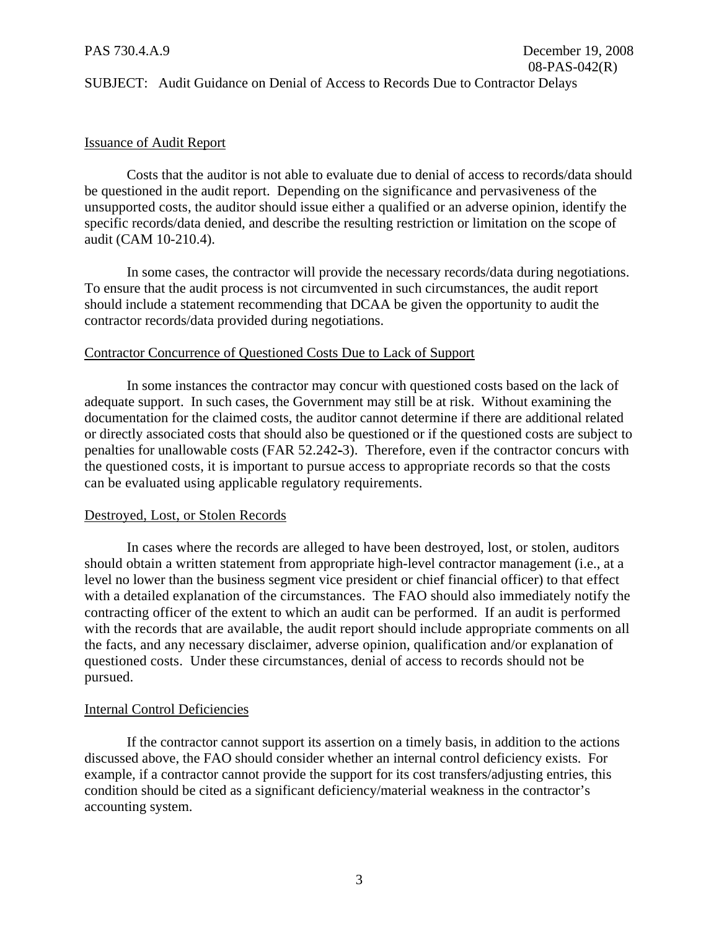### SUBJECT: Audit Guidance on Denial of Access to Records Due to Contractor Delays

### Issuance of Audit Report

Costs that the auditor is not able to evaluate due to denial of access to records/data should be questioned in the audit report. Depending on the significance and pervasiveness of the unsupported costs, the auditor should issue either a qualified or an adverse opinion, identify the specific records/data denied, and describe the resulting restriction or limitation on the scope of audit (CAM 10-210.4).

In some cases, the contractor will provide the necessary records/data during negotiations. To ensure that the audit process is not circumvented in such circumstances, the audit report should include a statement recommending that DCAA be given the opportunity to audit the contractor records/data provided during negotiations.

### Contractor Concurrence of Questioned Costs Due to Lack of Support

In some instances the contractor may concur with questioned costs based on the lack of adequate support. In such cases, the Government may still be at risk. Without examining the documentation for the claimed costs, the auditor cannot determine if there are additional related or directly associated costs that should also be questioned or if the questioned costs are subject to penalties for unallowable costs (FAR 52.242**-**3). Therefore, even if the contractor concurs with the questioned costs, it is important to pursue access to appropriate records so that the costs can be evaluated using applicable regulatory requirements.

### Destroyed, Lost, or Stolen Records

In cases where the records are alleged to have been destroyed, lost, or stolen, auditors should obtain a written statement from appropriate high-level contractor management (i.e., at a level no lower than the business segment vice president or chief financial officer) to that effect with a detailed explanation of the circumstances. The FAO should also immediately notify the contracting officer of the extent to which an audit can be performed. If an audit is performed with the records that are available, the audit report should include appropriate comments on all the facts, and any necessary disclaimer, adverse opinion, qualification and/or explanation of questioned costs. Under these circumstances, denial of access to records should not be pursued.

### Internal Control Deficiencies

If the contractor cannot support its assertion on a timely basis, in addition to the actions discussed above, the FAO should consider whether an internal control deficiency exists. For example, if a contractor cannot provide the support for its cost transfers/adjusting entries, this condition should be cited as a significant deficiency/material weakness in the contractor's accounting system.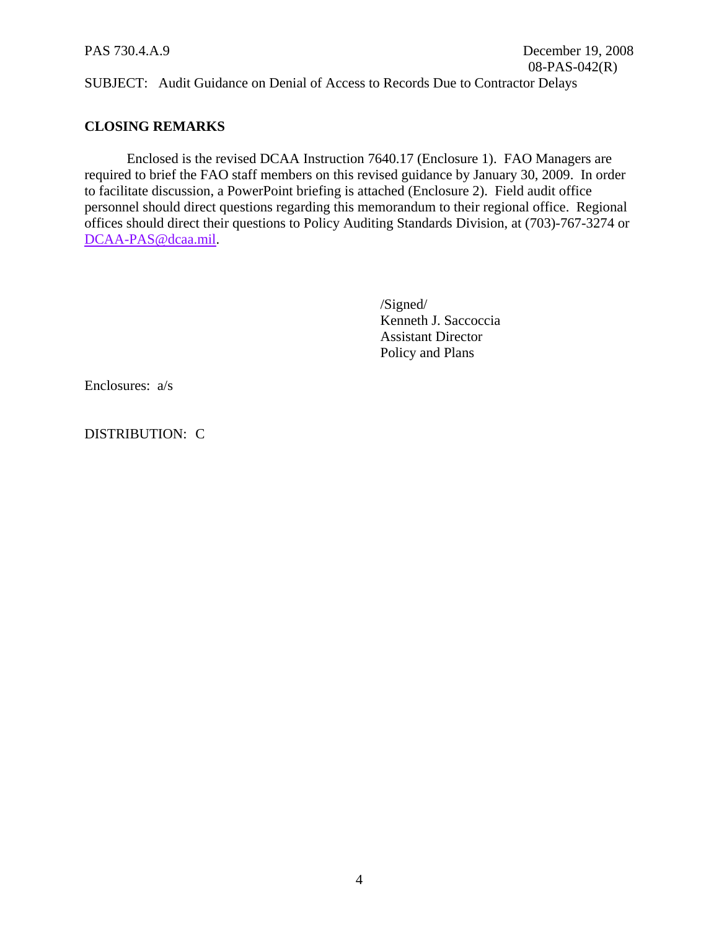SUBJECT: Audit Guidance on Denial of Access to Records Due to Contractor Delays

### **CLOSING REMARKS**

Enclosed is the revised DCAA Instruction 7640.17 (Enclosure 1). FAO Managers are required to brief the FAO staff members on this revised guidance by January 30, 2009. In order to facilitate discussion, a PowerPoint briefing is attached (Enclosure 2). Field audit office personnel should direct questions regarding this memorandum to their regional office. Regional offices should direct their questions to Policy Auditing Standards Division, at (703)-767-3274 or [DCAA-PAS@dcaa.mil](mailto:DCAA-PAS@dcaa.mil).

> /Signed/ Kenneth J. Saccoccia Assistant Director Policy and Plans

Enclosures: a/s

DISTRIBUTION: C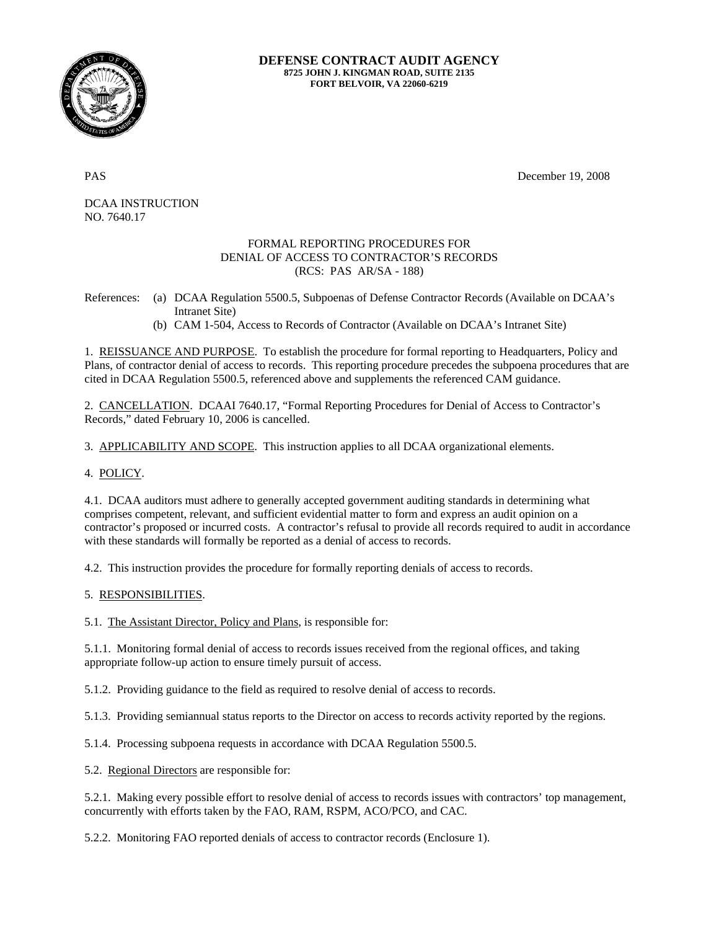

### **DEFENSE CONTRACT AUDIT AGENCY 8725 JOHN J. KINGMAN ROAD, SUITE 2135 FORT BELVOIR, VA 22060-6219**

PAS December 19, 2008

DCAA INSTRUCTION NO. 7640.17

### FORMAL REPORTING PROCEDURES FOR DENIAL OF ACCESS TO CONTRACTOR'S RECORDS (RCS: PAS AR/SA - 188)

References: (a) DCAA Regulation 5500.5, Subpoenas of Defense Contractor Records (Available on DCAA's Intranet Site)

(b) CAM 1-504, Access to Records of Contractor (Available on DCAA's Intranet Site)

1. REISSUANCE AND PURPOSE. To establish the procedure for formal reporting to Headquarters, Policy and Plans, of contractor denial of access to records. This reporting procedure precedes the subpoena procedures that are cited in DCAA Regulation 5500.5, referenced above and supplements the referenced CAM guidance.

2. CANCELLATION. DCAAI 7640.17, "Formal Reporting Procedures for Denial of Access to Contractor's Records," dated February 10, 2006 is cancelled.

3. APPLICABILITY AND SCOPE. This instruction applies to all DCAA organizational elements.

4. POLICY.

4.1. DCAA auditors must adhere to generally accepted government auditing standards in determining what comprises competent, relevant, and sufficient evidential matter to form and express an audit opinion on a contractor's proposed or incurred costs. A contractor's refusal to provide all records required to audit in accordance with these standards will formally be reported as a denial of access to records.

4.2. This instruction provides the procedure for formally reporting denials of access to records.

5. RESPONSIBILITIES.

5.1. The Assistant Director, Policy and Plans, is responsible for:

5.1.1. Monitoring formal denial of access to records issues received from the regional offices, and taking appropriate follow-up action to ensure timely pursuit of access.

5.1.2. Providing guidance to the field as required to resolve denial of access to records.

5.1.3. Providing semiannual status reports to the Director on access to records activity reported by the regions.

5.1.4. Processing subpoena requests in accordance with DCAA Regulation 5500.5.

5.2. Regional Directors are responsible for:

5.2.1. Making every possible effort to resolve denial of access to records issues with contractors' top management, concurrently with efforts taken by the FAO, RAM, RSPM, ACO/PCO, and CAC.

5.2.2. Monitoring FAO reported denials of access to contractor records (Enclosure 1).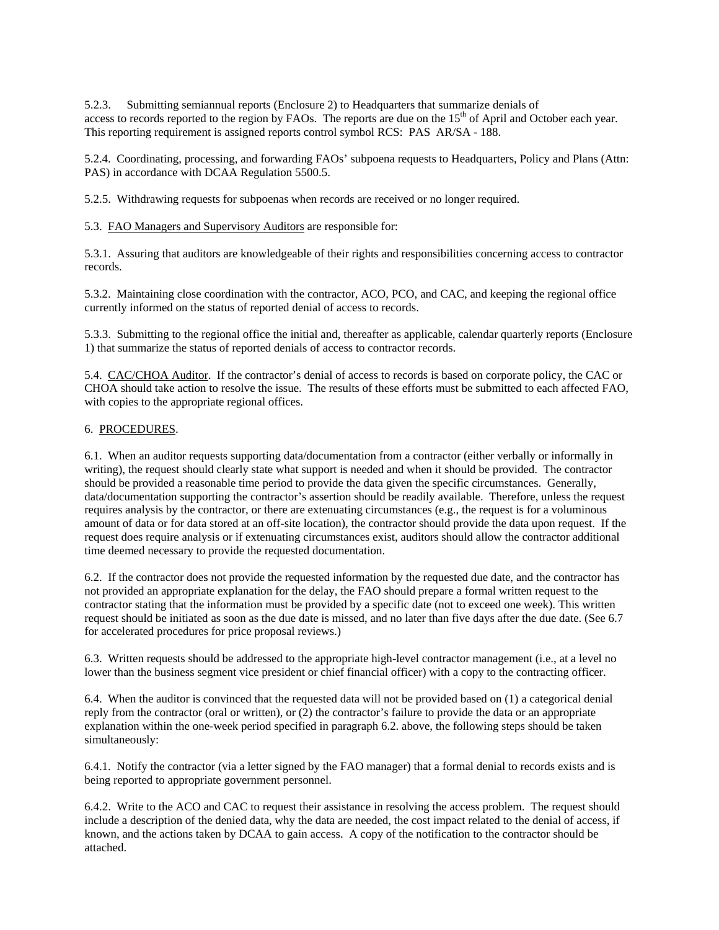5.2.3. Submitting semiannual reports (Enclosure 2) to Headquarters that summarize denials of access to records reported to the region by FAOs. The reports are due on the 15<sup>th</sup> of April and October each year. This reporting requirement is assigned reports control symbol RCS: PAS AR/SA - 188.

5.2.4. Coordinating, processing, and forwarding FAOs' subpoena requests to Headquarters, Policy and Plans (Attn: PAS) in accordance with DCAA Regulation 5500.5.

5.2.5. Withdrawing requests for subpoenas when records are received or no longer required.

5.3. FAO Managers and Supervisory Auditors are responsible for:

5.3.1. Assuring that auditors are knowledgeable of their rights and responsibilities concerning access to contractor records.

5.3.2. Maintaining close coordination with the contractor, ACO, PCO, and CAC, and keeping the regional office currently informed on the status of reported denial of access to records.

5.3.3. Submitting to the regional office the initial and, thereafter as applicable, calendar quarterly reports (Enclosure 1) that summarize the status of reported denials of access to contractor records.

5.4. CAC/CHOA Auditor. If the contractor's denial of access to records is based on corporate policy, the CAC or CHOA should take action to resolve the issue. The results of these efforts must be submitted to each affected FAO, with copies to the appropriate regional offices.

### 6. PROCEDURES.

6.1. When an auditor requests supporting data/documentation from a contractor (either verbally or informally in writing), the request should clearly state what support is needed and when it should be provided. The contractor should be provided a reasonable time period to provide the data given the specific circumstances. Generally, data/documentation supporting the contractor's assertion should be readily available. Therefore, unless the request requires analysis by the contractor, or there are extenuating circumstances (e.g., the request is for a voluminous amount of data or for data stored at an off-site location), the contractor should provide the data upon request. If the request does require analysis or if extenuating circumstances exist, auditors should allow the contractor additional time deemed necessary to provide the requested documentation.

6.2. If the contractor does not provide the requested information by the requested due date, and the contractor has not provided an appropriate explanation for the delay, the FAO should prepare a formal written request to the contractor stating that the information must be provided by a specific date (not to exceed one week). This written request should be initiated as soon as the due date is missed, and no later than five days after the due date. (See 6.7 for accelerated procedures for price proposal reviews.)

6.3. Written requests should be addressed to the appropriate high-level contractor management (i.e., at a level no lower than the business segment vice president or chief financial officer) with a copy to the contracting officer.

6.4. When the auditor is convinced that the requested data will not be provided based on (1) a categorical denial reply from the contractor (oral or written), or (2) the contractor's failure to provide the data or an appropriate explanation within the one-week period specified in paragraph 6.2. above, the following steps should be taken simultaneously:

6.4.1. Notify the contractor (via a letter signed by the FAO manager) that a formal denial to records exists and is being reported to appropriate government personnel.

6.4.2. Write to the ACO and CAC to request their assistance in resolving the access problem. The request should include a description of the denied data, why the data are needed, the cost impact related to the denial of access, if known, and the actions taken by DCAA to gain access. A copy of the notification to the contractor should be attached.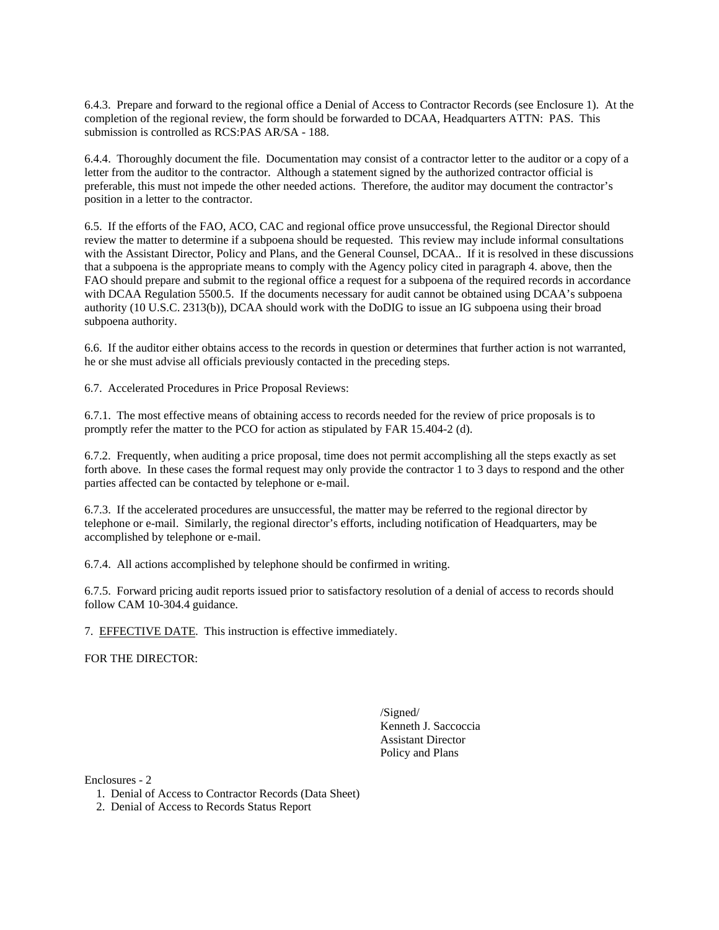6.4.3. Prepare and forward to the regional office a Denial of Access to Contractor Records (see Enclosure 1). At the completion of the regional review, the form should be forwarded to DCAA, Headquarters ATTN: PAS. This submission is controlled as RCS:PAS AR/SA - 188.

6.4.4. Thoroughly document the file. Documentation may consist of a contractor letter to the auditor or a copy of a letter from the auditor to the contractor. Although a statement signed by the authorized contractor official is preferable, this must not impede the other needed actions. Therefore, the auditor may document the contractor's position in a letter to the contractor.

6.5. If the efforts of the FAO, ACO, CAC and regional office prove unsuccessful, the Regional Director should review the matter to determine if a subpoena should be requested. This review may include informal consultations with the Assistant Director, Policy and Plans, and the General Counsel, DCAA.. If it is resolved in these discussions that a subpoena is the appropriate means to comply with the Agency policy cited in paragraph 4. above, then the FAO should prepare and submit to the regional office a request for a subpoena of the required records in accordance with DCAA Regulation 5500.5. If the documents necessary for audit cannot be obtained using DCAA's subpoena authority (10 U.S.C. 2313(b)), DCAA should work with the DoDIG to issue an IG subpoena using their broad subpoena authority.

6.6. If the auditor either obtains access to the records in question or determines that further action is not warranted, he or she must advise all officials previously contacted in the preceding steps.

6.7. Accelerated Procedures in Price Proposal Reviews:

6.7.1. The most effective means of obtaining access to records needed for the review of price proposals is to promptly refer the matter to the PCO for action as stipulated by FAR 15.404-2 (d).

6.7.2. Frequently, when auditing a price proposal, time does not permit accomplishing all the steps exactly as set forth above. In these cases the formal request may only provide the contractor 1 to 3 days to respond and the other parties affected can be contacted by telephone or e-mail.

6.7.3. If the accelerated procedures are unsuccessful, the matter may be referred to the regional director by telephone or e-mail. Similarly, the regional director's efforts, including notification of Headquarters, may be accomplished by telephone or e-mail.

6.7.4. All actions accomplished by telephone should be confirmed in writing.

6.7.5. Forward pricing audit reports issued prior to satisfactory resolution of a denial of access to records should follow CAM 10-304.4 guidance.

7. EFFECTIVE DATE. This instruction is effective immediately.

FOR THE DIRECTOR:

 /Signed/ Kenneth J. Saccoccia Assistant Director Policy and Plans

Enclosures - 2

- 1. Denial of Access to Contractor Records (Data Sheet)
- 2. Denial of Access to Records Status Report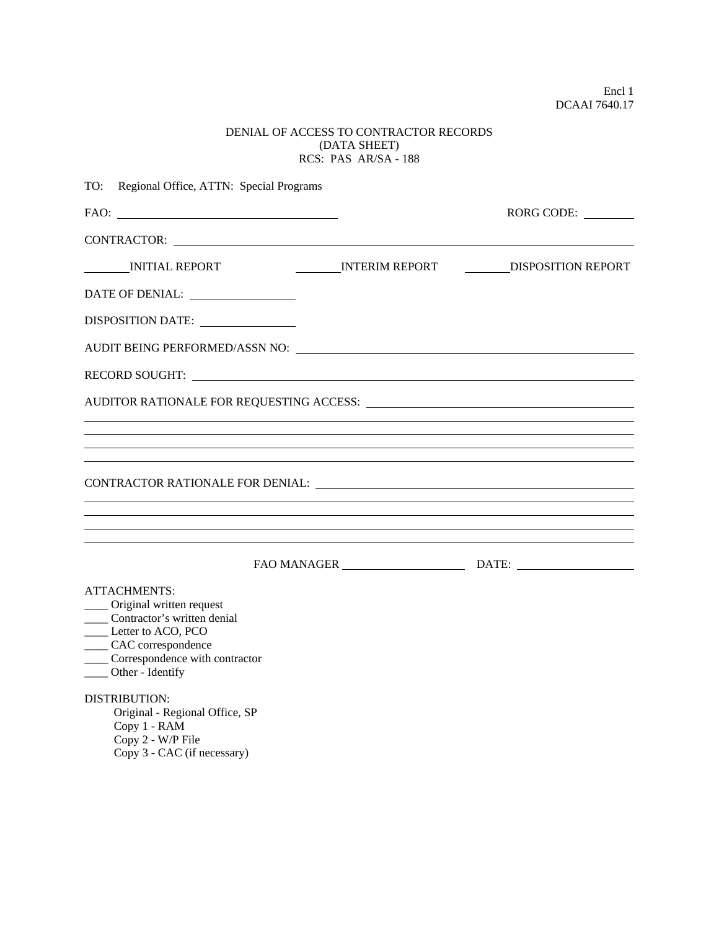Encl 1 DCAAI 7640.17

### DENIAL OF ACCESS TO CONTRACTOR RECORDS (DATA SHEET) RCS: PAS AR/SA - 188

| Regional Office, ATTN: Special Programs<br>TO:                                                                                                                                                                                                                       |                                   |
|----------------------------------------------------------------------------------------------------------------------------------------------------------------------------------------------------------------------------------------------------------------------|-----------------------------------|
| $FAO:$                                                                                                                                                                                                                                                               | RORG CODE:                        |
| CONTRACTOR: NATIONAL CONTRACTOR:                                                                                                                                                                                                                                     |                                   |
| INITIAL REPORT                                                                                                                                                                                                                                                       | INTERIM REPORT DISPOSITION REPORT |
| DATE OF DENIAL:                                                                                                                                                                                                                                                      |                                   |
| DISPOSITION DATE:                                                                                                                                                                                                                                                    |                                   |
| AUDIT BEING PERFORMED/ASSN NO: University of the contract of the contract of the contract of the contract of the contract of the contract of the contract of the contract of the contract of the contract of the contract of t                                       |                                   |
| RECORD SOUGHT:                                                                                                                                                                                                                                                       |                                   |
|                                                                                                                                                                                                                                                                      |                                   |
|                                                                                                                                                                                                                                                                      |                                   |
|                                                                                                                                                                                                                                                                      |                                   |
|                                                                                                                                                                                                                                                                      |                                   |
|                                                                                                                                                                                                                                                                      |                                   |
|                                                                                                                                                                                                                                                                      |                                   |
|                                                                                                                                                                                                                                                                      |                                   |
| <b>ATTACHMENTS:</b><br>____ Original written request<br>____ Contractor's written denial<br>Letter to ACO, PCO<br>____ CAC correspondence<br>_____ Correspondence with contractor<br>____ Other - Identify<br><b>DISTRIBUTION:</b><br>Original - Regional Office, SP |                                   |
| Copy 1 - RAM<br>Copy 2 - W/P File<br>Copy 3 - CAC (if necessary)                                                                                                                                                                                                     |                                   |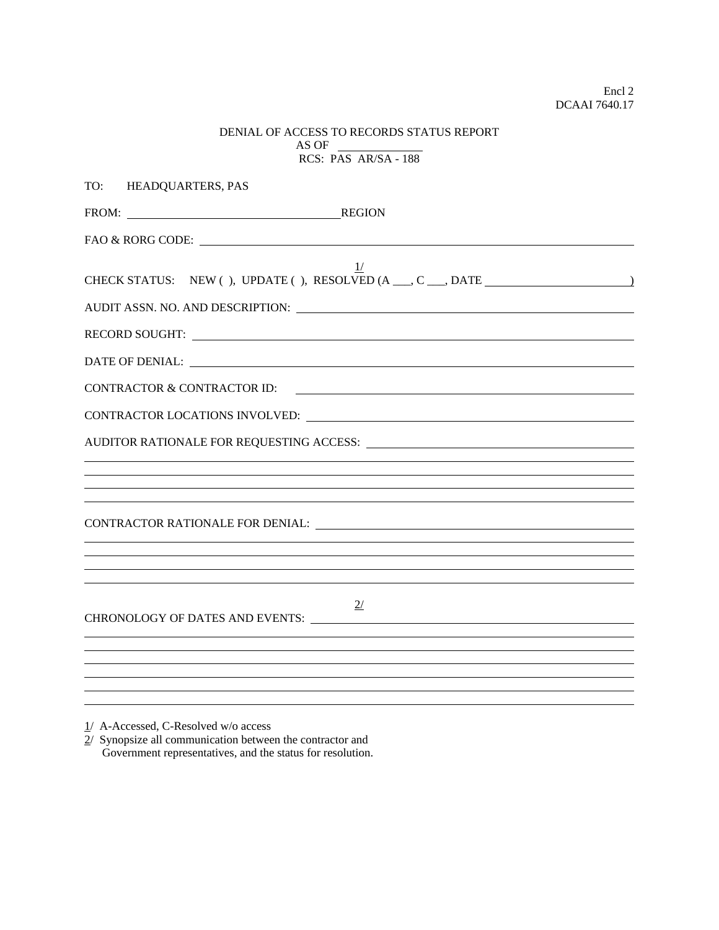| DENIAL OF ACCESS TO RECORDS STATUS REPORT |  |  |
|-------------------------------------------|--|--|
| AS OF                                     |  |  |
| $RCS: PAS AR/SA - 188$                    |  |  |

| TO: HEADQUARTERS, PAS                                                                            |
|--------------------------------------------------------------------------------------------------|
| FROM: REGION                                                                                     |
|                                                                                                  |
| 1/<br>CHECK STATUS: NEW (), UPDATE (), RESOLVED (A __, C __, DATE _____________________          |
|                                                                                                  |
|                                                                                                  |
|                                                                                                  |
| <b>CONTRACTOR &amp; CONTRACTOR ID:</b><br><u> 1989 - Jan Barnett, fransk politiker (d. 1989)</u> |
|                                                                                                  |
|                                                                                                  |
|                                                                                                  |
| ,我们也不会有什么。""我们的人,我们也不会有什么?""我们的人,我们也不会有什么?""我们的人,我们也不会有什么?""我们的人,我们也不会有什么?""我们的人                 |
|                                                                                                  |
|                                                                                                  |
| ,我们也不会有什么。""我们的人,我们也不会有什么?""我们的人,我们也不会有什么?""我们的人,我们也不会有什么?""我们的人,我们也不会有什么?""我们的人                 |
|                                                                                                  |
| 2/                                                                                               |
|                                                                                                  |
|                                                                                                  |
|                                                                                                  |
|                                                                                                  |

1/ A-Accessed, C-Resolved w/o access

2/ Synopsize all communication between the contractor and Government representatives, and the status for resolution.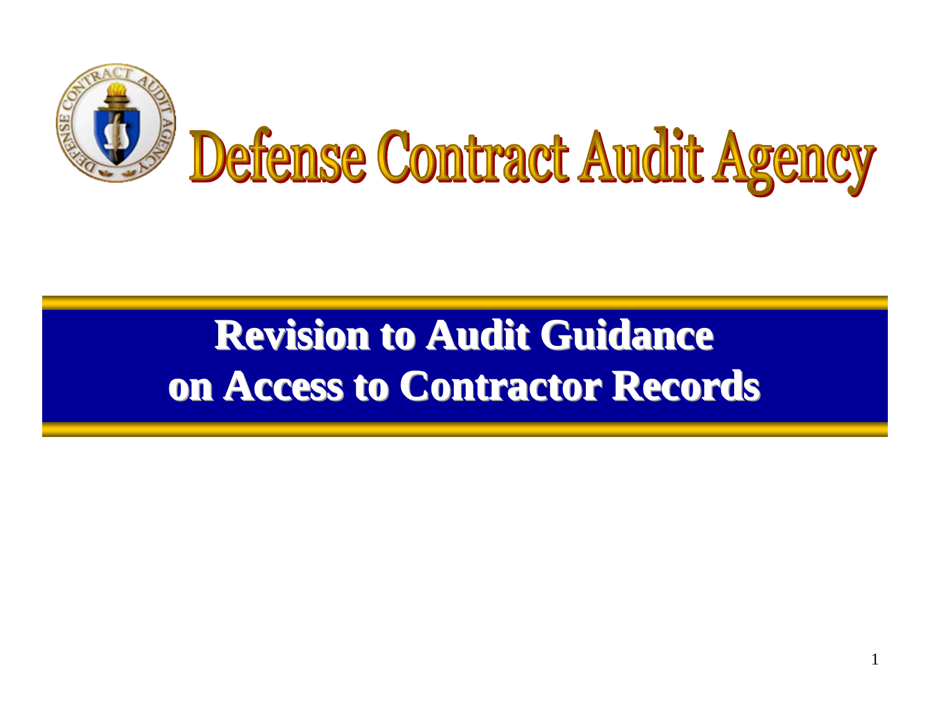

# **Revision to Audit Guidance on Access to Contractor Records**

1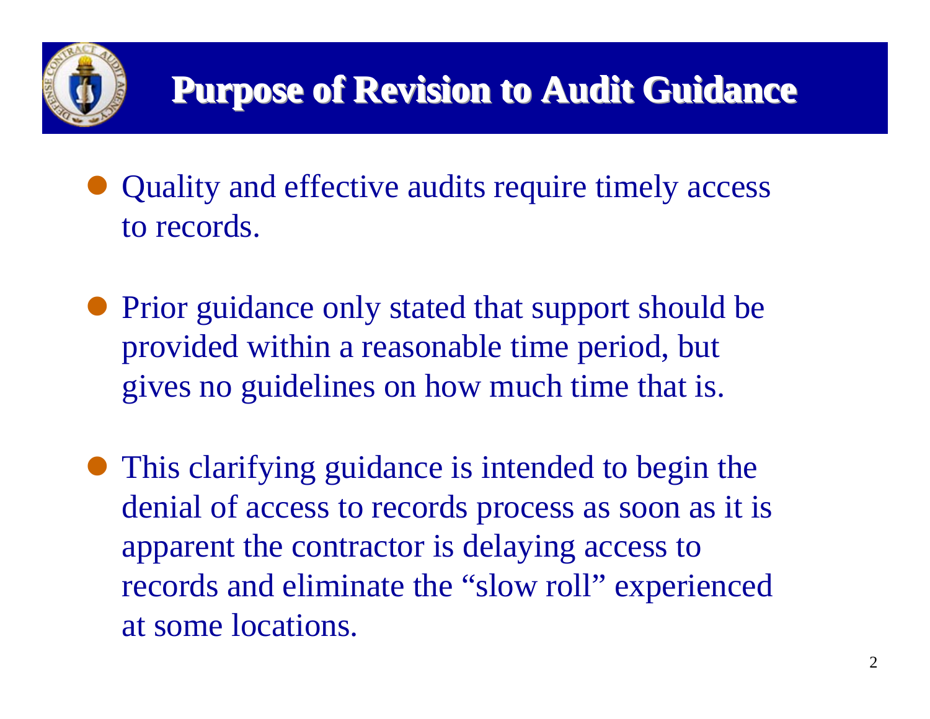

- Quality and effective audits require timely access to records.
- Prior guidance only stated that support should be provided within a reasonable time period, but gives no guidelines on how much time that is.
- This clarifying guidance is intended to begin the denial of access to records process as soon as it is apparent the contractor is delaying access to records and eliminate the "slow roll" experienced at some locations.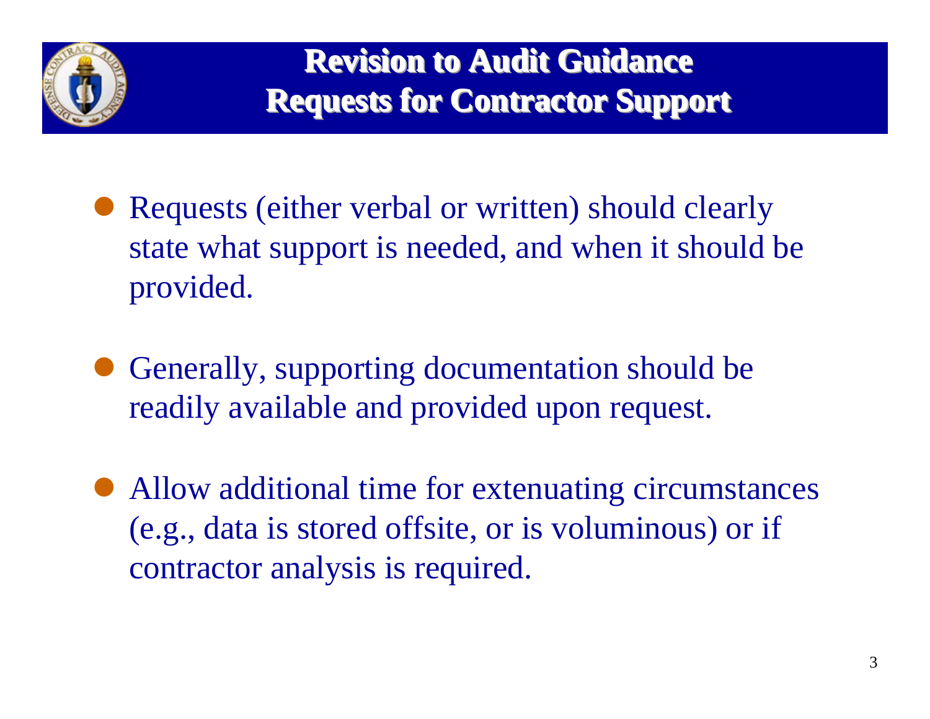

- Requests (either verbal or written) should clearly state what support is needed, and when it should be provided.
- $\bullet$  Generally, supporting documentation should be readily available and provided upon request.
- $\bullet$  Allow additional time for extenuating circumstances (e.g., data is stored offsite, or is voluminous) or if contractor analysis is required.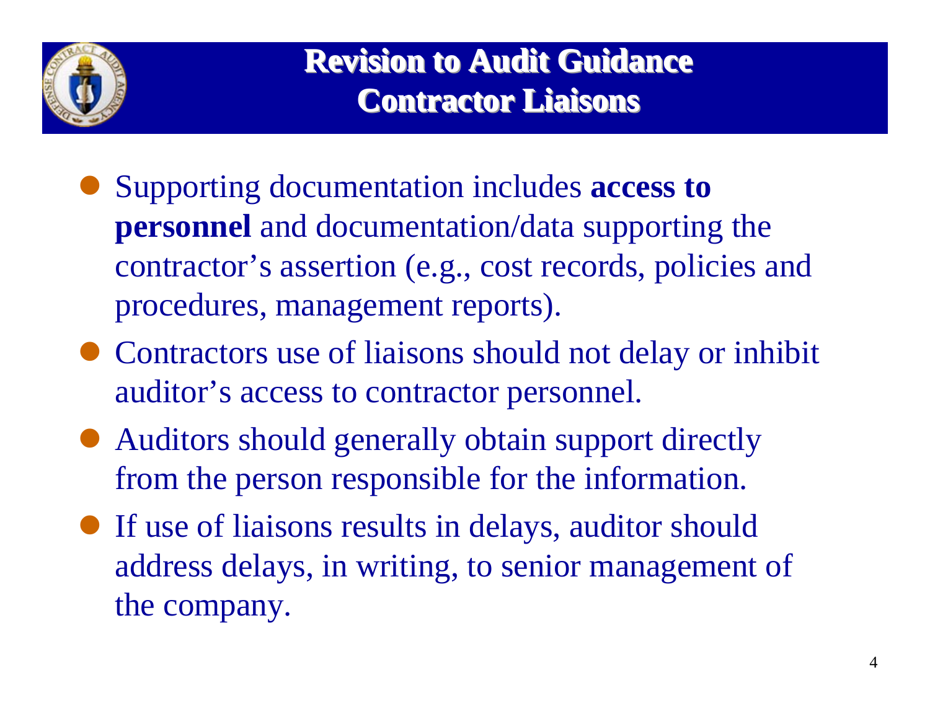

**Revision to Audit Guidance Contractor Liaisons Contractor Liaisons Contractor Liaisons**

- $\bullet$  Supporting documentation includes **access to personnel** and documentation/data supporting the contractor's assertion (e.g., cost records, policies and procedures, management reports).
- Contractors use of liaisons should not delay or inhibit auditor's access to contractor personnel.
- Auditors should generally obtain support directly from the person responsible for the information.
- If use of liaisons results in delays, auditor should address delays, in writing, to senior management of the company.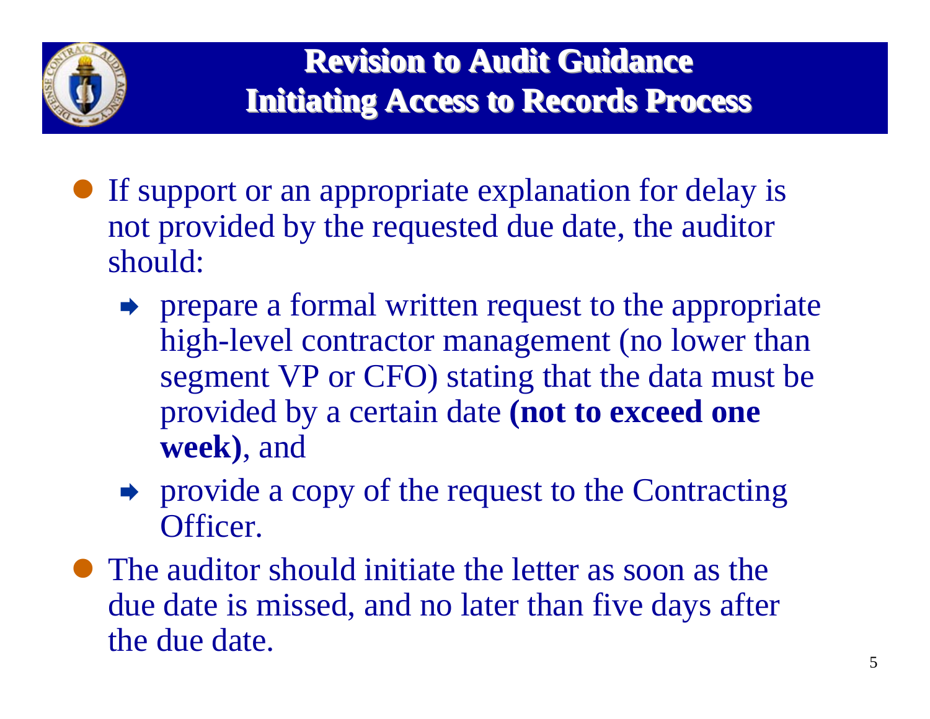

- If support or an appropriate explanation for delay is not provided by the requested due date, the auditor should:
	- $\rightarrow$  prepare a formal written request to the appropriate high-level contractor management (no lower than segment VP or CFO) stating that the data must be provided by a certain date **(not to exceed one week)**, and
	- $\rightarrow$  provide a copy of the request to the Contracting Officer.
- The auditor should initiate the letter as soon as the due date is missed, and no later than five days after the due date.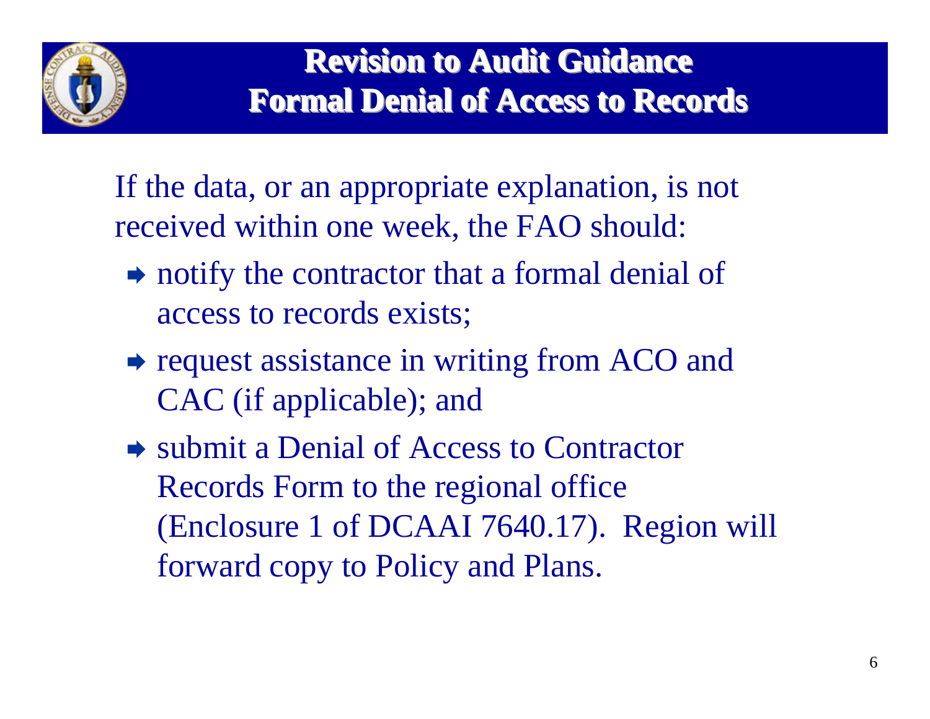

If the data, or an appropriate explanation, is not received within one week, the FAO should:

- $\rightarrow$  notify the contractor that a formal denial of access to records exists;
- request assistance in writing from ACO and CAC (if applicable); and
- $\rightarrow$  submit a Denial of Access to Contractor Records Form to the regional office (Enclosure 1 of DCAAI 7640.17). Region will forward copy to Policy and Plans.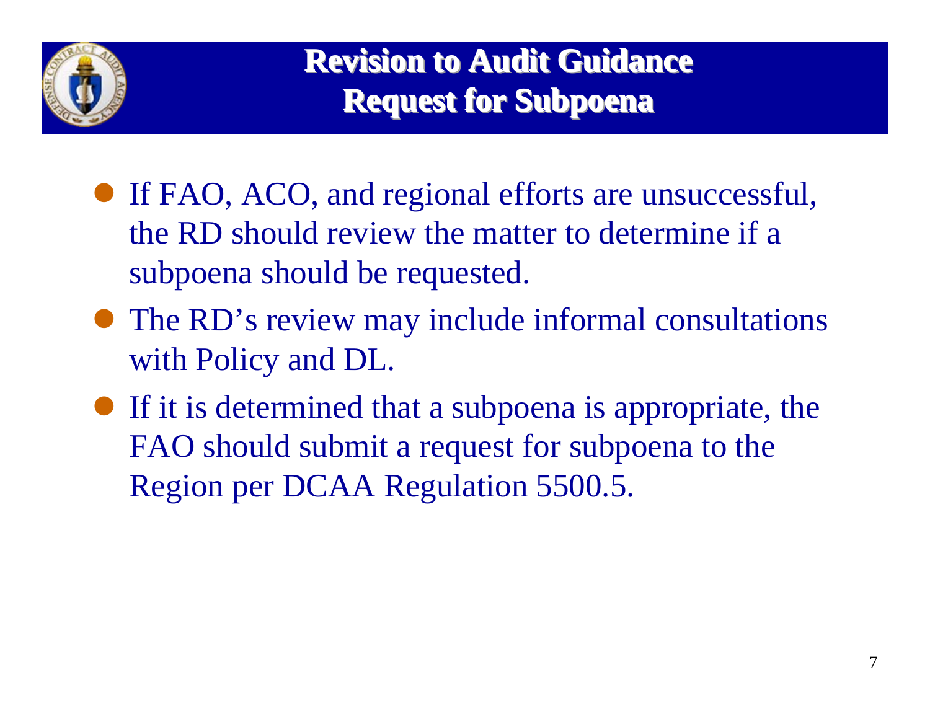

- If FAO, ACO, and regional efforts are unsuccessful, the RD should review the matter to determine if a subpoena should be requested.
- The RD's review may include informal consultations with Policy and DL.
- $\bullet$  If it is determined that a subpoena is appropriate, the FAO should submit a request for subpoena to the Region per DCAA Regulation 5500.5.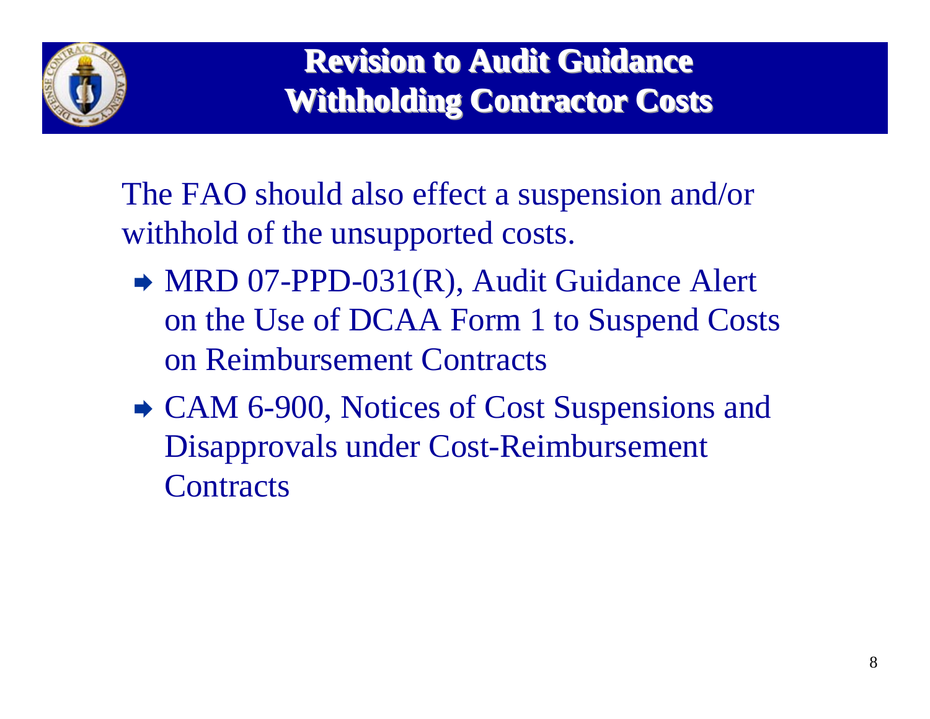

The FAO should also effect a suspension and/or withhold of the unsupported costs.

- $\rightarrow$  MRD 07-PPD-031(R), Audit Guidance Alert on the Use of DCAA Form 1 to Suspend Costs on Reimbursement Contracts
- CAM 6-900, Notices of Cost Suspensions and Disapprovals under Cost-Reimbursement **Contracts**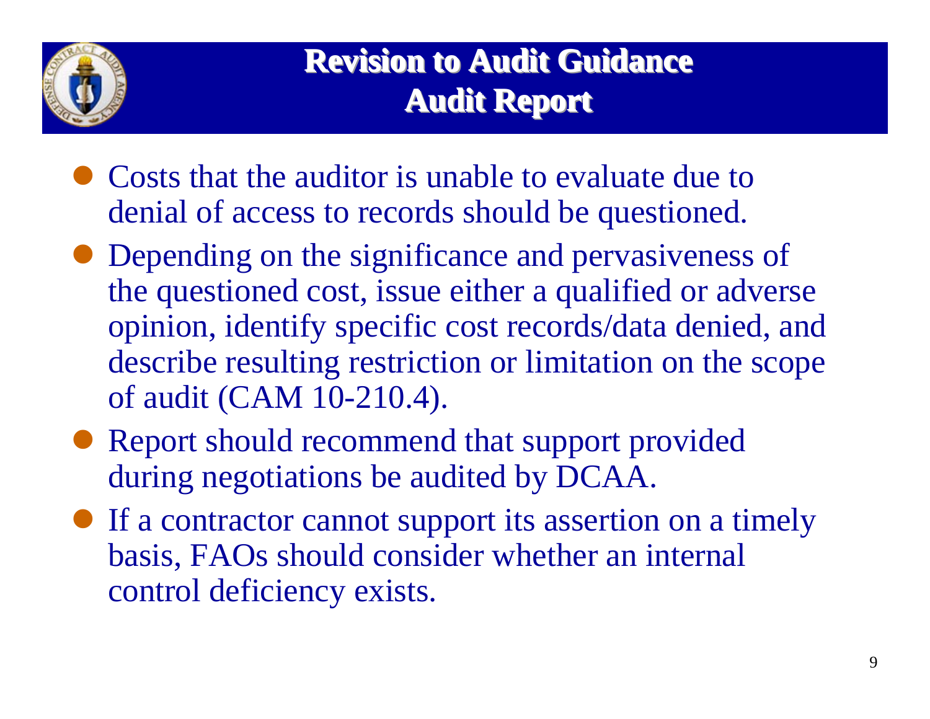

**Revision to Audit Guidance Audit Report Audit Report Audit Report**

- Costs that the auditor is unable to evaluate due to denial of access to records should be questioned.
- Depending on the significance and pervasiveness of the questioned cost, issue either a qualified or adverse opinion, identify specific cost records/data denied, and describe resulting restriction or limitation on the scope of audit (CAM 10-210.4).
- Report should recommend that support provided during negotiations be audited by DCAA.
- If a contractor cannot support its assertion on a timely basis, FAOs should consider whether an internal control deficiency exists.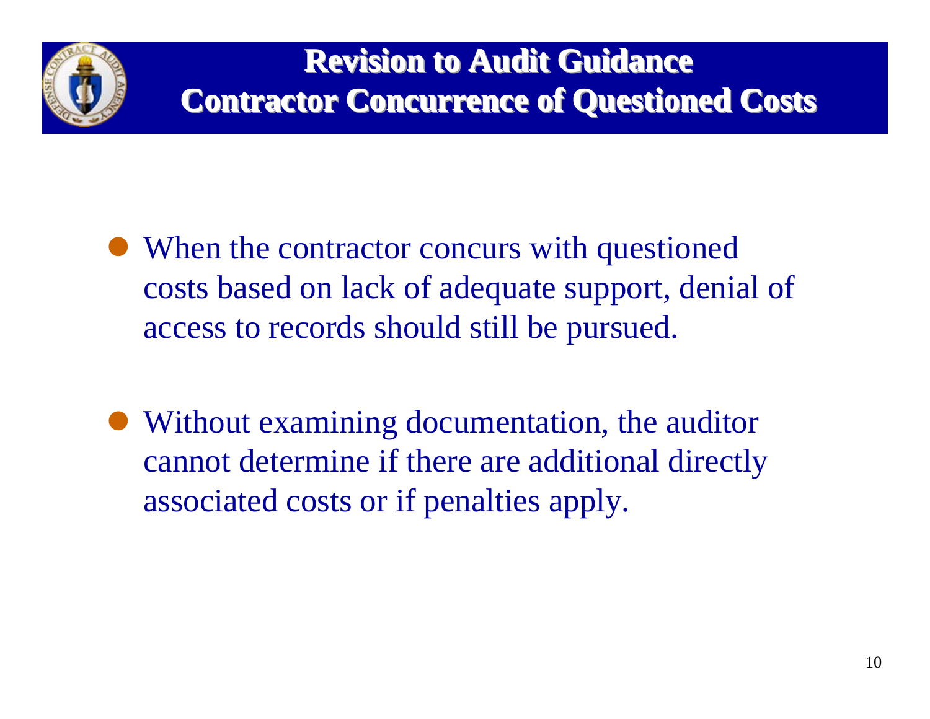

- When the contractor concurs with questioned costs based on lack of adequate support, denial of access to records should still be pursued.
- Without examining documentation, the auditor cannot determine if there are additional directly associated costs or if penalties apply.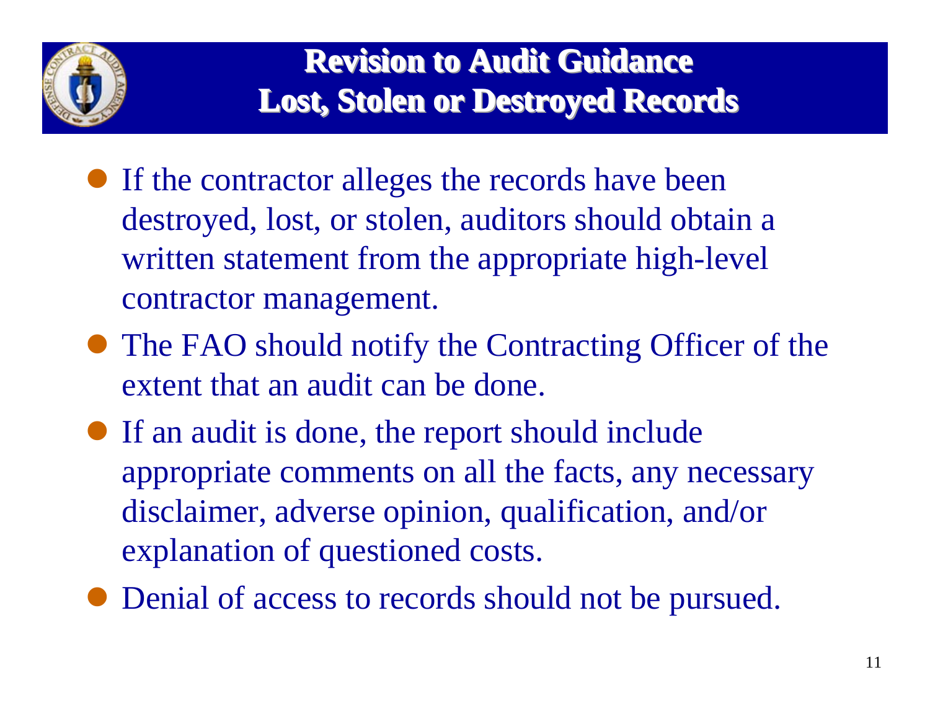

- If the contractor alleges the records have been destroyed, lost, or stolen, auditors should obtain a written statement from the appropriate high-level contractor management.
- The FAO should notify the Contracting Officer of the extent that an audit can be done.
- If an audit is done, the report should include appropriate comments on all the facts, any necessary disclaimer, adverse opinion, qualification, and/or explanation of questioned costs.
- $\bullet$  Denial of access to records should not be pursued.